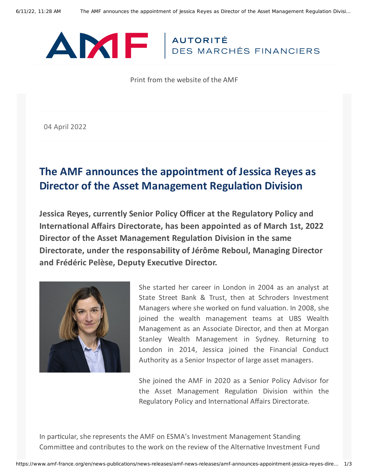

Print from the website of the AMF

04 April 2022

## **The AMF announces the appointment of Jessica Reyes as Director of the Asset Management Regulation Division**

**Jessica Reyes, currently Senior Policy Officer at the Regulatory Policy and International Affairs Directorate, has been appointed as of March 1st, 2022 Director of the Asset Management Regulation Division in the same Directorate, under the responsability of Jérôme Reboul, Managing Director and Frédéric Pelèse, Deputy Executive Director.**



She started her career in London in 2004 as an analyst at State Street Bank & Trust, then at Schroders Investment Managers where she worked on fund valuation. In 2008, she joined the wealth management teams at UBS Wealth Management as an Associate Director, and then at Morgan Stanley Wealth Management in Sydney. Returning to London in 2014, Jessica joined the Financial Conduct Authority as a Senior Inspector of large asset managers.

She joined the AMF in 2020 as a Senior Policy Advisor for the Asset Management Regulation Division within the Regulatory Policy and International Affairs Directorate.

In particular, she represents the AMF on ESMA's Investment Management Standing Committee and contributes to the work on the review of the Alternative Investment Fund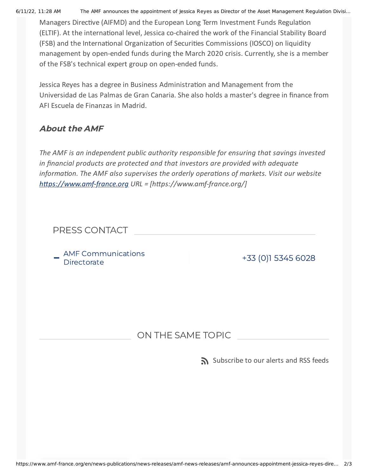6/11/22, 11:28 AM The AMF announces the appointment of Jessica Reyes as Director of the Asset Management Regulation Divisi…

Managers Directive (AIFMD) and the European Long Term Investment Funds Regulation (ELTIF). At the international level, Jessica co-chaired the work of the Financial Stability Board (FSB) and the International Organization of Securities Commissions (IOSCO) on liquidity management by open-ended funds during the March 2020 crisis. Currently, she is a member of the FSB's technical expert group on open-ended funds.

Jessica Reyes has a degree in Business Administration and Management from the Universidad de Las Palmas de Gran Canaria. She also holds a master's degree in finance from AFI Escuela de Finanzas in Madrid.

## About the AMF

*The AMF is an independent public authority responsible for ensuring that savings invested in financial products are protected and that investors are provided with adequate information. The AMF also supervises the orderly operations of markets. Visit our website [https://www.amf-france.org](https://www.amf-france.org/) URL = [https://www.amf-france.org/]*

## PRESS CONTACT

. AMF Communications<br>- Directorate

+33 (0)1 5345 [6028](tel:+33153456028)

## ON THE SAME TOPIC

[Subscribe](https://www.amf-france.org/en/subscriptions-rss-feeds) to our alerts and RSS feeds